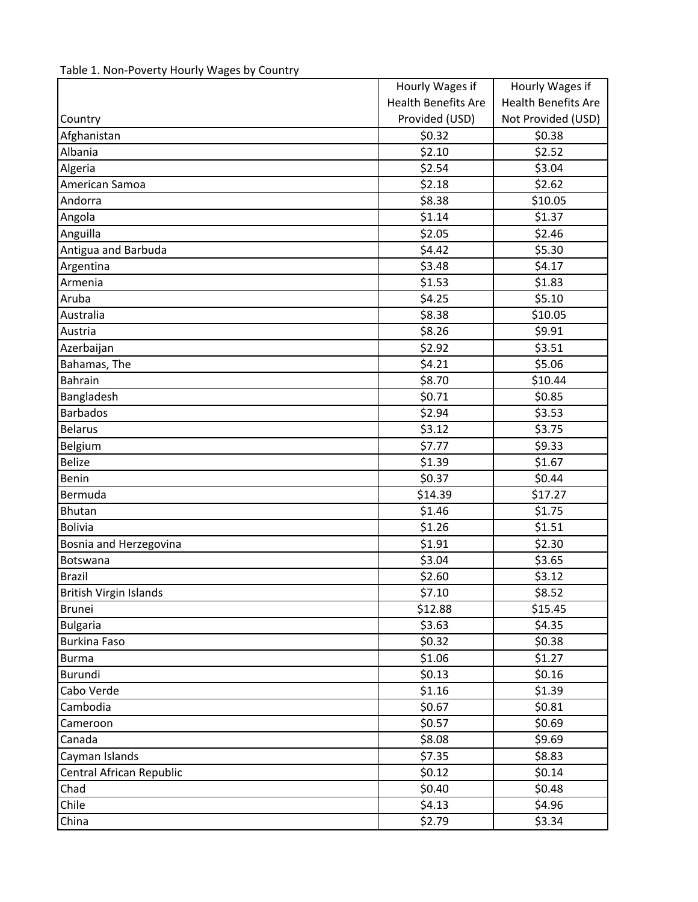|                               | Hourly Wages if            | Hourly Wages if            |
|-------------------------------|----------------------------|----------------------------|
|                               | <b>Health Benefits Are</b> | <b>Health Benefits Are</b> |
| Country                       | Provided (USD)             | Not Provided (USD)         |
| Afghanistan                   | \$0.32                     | \$0.38                     |
| Albania                       | \$2.10                     | \$2.52                     |
| Algeria                       | \$2.54                     | \$3.04                     |
| American Samoa                | \$2.18                     | \$2.62                     |
| Andorra                       | \$8.38                     | \$10.05                    |
| Angola                        | \$1.14                     | \$1.37                     |
| Anguilla                      | \$2.05                     | \$2.46                     |
| Antigua and Barbuda           | \$4.42                     | \$5.30                     |
| Argentina                     | \$3.48                     | \$4.17                     |
| Armenia                       | \$1.53                     | \$1.83                     |
| Aruba                         | \$4.25                     | \$5.10                     |
| Australia                     | \$8.38                     | \$10.05                    |
| Austria                       | \$8.26                     | \$9.91                     |
| Azerbaijan                    | \$2.92                     | \$3.51                     |
| Bahamas, The                  | \$4.21                     | \$5.06                     |
| Bahrain                       | \$8.70                     | \$10.44                    |
| Bangladesh                    | \$0.71                     | \$0.85                     |
| <b>Barbados</b>               | \$2.94                     | \$3.53                     |
| <b>Belarus</b>                | \$3.12                     | \$3.75                     |
| Belgium                       | \$7.77                     | \$9.33                     |
| <b>Belize</b>                 | \$1.39                     | \$1.67                     |
| Benin                         | \$0.37                     | \$0.44                     |
| Bermuda                       | \$14.39                    | \$17.27                    |
| <b>Bhutan</b>                 | \$1.46                     | \$1.75                     |
| <b>Bolivia</b>                | \$1.26                     | \$1.51                     |
| Bosnia and Herzegovina        | \$1.91                     | \$2.30                     |
| Botswana                      | \$3.04                     | \$3.65                     |
| <b>Brazil</b>                 | \$2.60                     | \$3.12                     |
| <b>British Virgin Islands</b> | \$7.10                     | \$8.52                     |
| <b>Brunei</b>                 | \$12.88                    | \$15.45                    |
| <b>Bulgaria</b>               | \$3.63                     | \$4.35                     |
| <b>Burkina Faso</b>           | \$0.32                     | \$0.38                     |
| <b>Burma</b>                  | \$1.06                     | \$1.27                     |
| Burundi                       | \$0.13                     | \$0.16                     |
| Cabo Verde                    | \$1.16                     | \$1.39                     |
| Cambodia                      | \$0.67                     | \$0.81                     |
| Cameroon                      | \$0.57                     | \$0.69                     |
| Canada                        | \$8.08                     | \$9.69                     |
| Cayman Islands                | \$7.35                     | \$8.83                     |
| Central African Republic      | \$0.12                     | \$0.14                     |
| Chad                          | \$0.40                     | \$0.48                     |
| Chile                         | \$4.13                     | \$4.96                     |
| China                         | \$2.79                     | \$3.34                     |

| Table 1. Non-Poverty Hourly Wages by Country |  |
|----------------------------------------------|--|
|----------------------------------------------|--|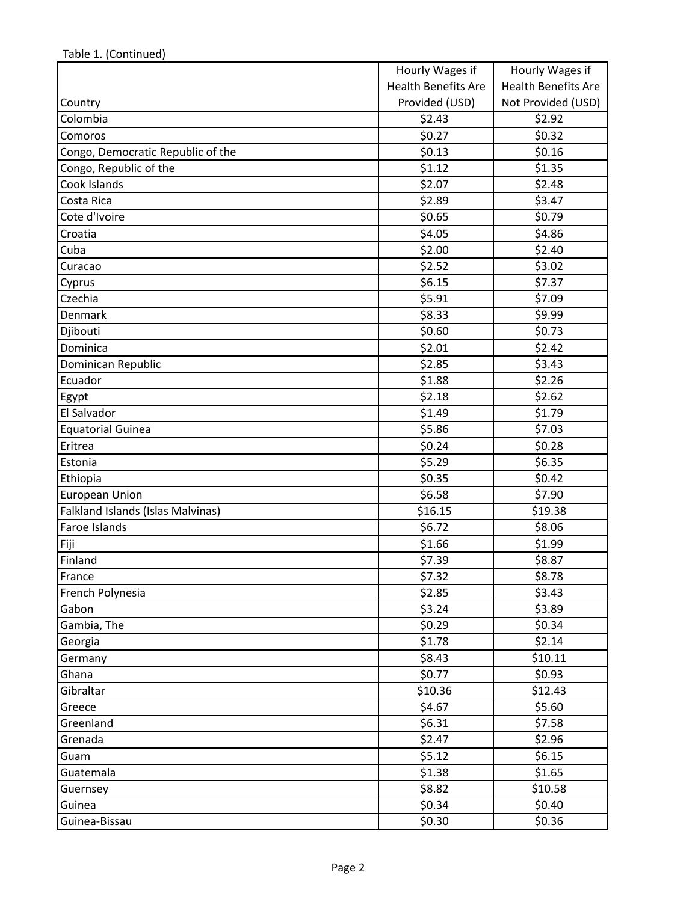|                                   | Hourly Wages if            | Hourly Wages if            |
|-----------------------------------|----------------------------|----------------------------|
|                                   | <b>Health Benefits Are</b> | <b>Health Benefits Are</b> |
| Country                           | Provided (USD)             | Not Provided (USD)         |
| Colombia                          | \$2.43                     | \$2.92                     |
| Comoros                           | \$0.27                     | \$0.32                     |
| Congo, Democratic Republic of the | \$0.13                     | \$0.16                     |
| Congo, Republic of the            | \$1.12                     | \$1.35                     |
| Cook Islands                      | \$2.07                     | \$2.48                     |
| Costa Rica                        | \$2.89                     | \$3.47                     |
| Cote d'Ivoire                     | \$0.65                     | \$0.79                     |
| Croatia                           | \$4.05                     | \$4.86                     |
| Cuba                              | \$2.00                     | \$2.40                     |
| Curacao                           | \$2.52                     | \$3.02                     |
| Cyprus                            | \$6.15                     | \$7.37                     |
| Czechia                           | \$5.91                     | \$7.09                     |
| Denmark                           | \$8.33                     | \$9.99                     |
| Djibouti                          | \$0.60                     | \$0.73                     |
| Dominica                          | \$2.01                     | \$2.42                     |
| Dominican Republic                | \$2.85                     | \$3.43                     |
| Ecuador                           | \$1.88                     | \$2.26                     |
| Egypt                             | \$2.18                     | \$2.62                     |
| El Salvador                       | \$1.49                     | \$1.79                     |
| <b>Equatorial Guinea</b>          | \$5.86                     | \$7.03                     |
| Eritrea                           | \$0.24                     | \$0.28                     |
| Estonia                           | \$5.29                     | \$6.35                     |
| Ethiopia                          | \$0.35                     | \$0.42                     |
| <b>European Union</b>             | \$6.58                     | \$7.90                     |
| Falkland Islands (Islas Malvinas) | \$16.15                    | \$19.38                    |
| Faroe Islands                     | \$6.72                     | \$8.06                     |
| Fiji                              | \$1.66                     | \$1.99                     |
| Finland                           | \$7.39                     | \$8.87                     |
| France                            | \$7.32                     | \$8.78                     |
| French Polynesia                  | \$2.85                     | \$3.43                     |
| Gabon                             | \$3.24                     | \$3.89                     |
| Gambia, The                       | \$0.29                     | \$0.34                     |
| Georgia                           | \$1.78                     | \$2.14                     |
| Germany                           | \$8.43                     | \$10.11                    |
| Ghana                             | \$0.77                     | \$0.93                     |
| Gibraltar                         | \$10.36                    | \$12.43                    |
| Greece                            | \$4.67                     | \$5.60                     |
| Greenland                         | \$6.31                     | \$7.58                     |
| Grenada                           | \$2.47                     | \$2.96                     |
| Guam                              | \$5.12                     | \$6.15                     |
| Guatemala                         | \$1.38                     | \$1.65                     |
| Guernsey                          | \$8.82                     | \$10.58                    |
| Guinea                            | \$0.34                     | \$0.40                     |
| Guinea-Bissau                     | \$0.30                     | \$0.36                     |

Table 1. (Continued)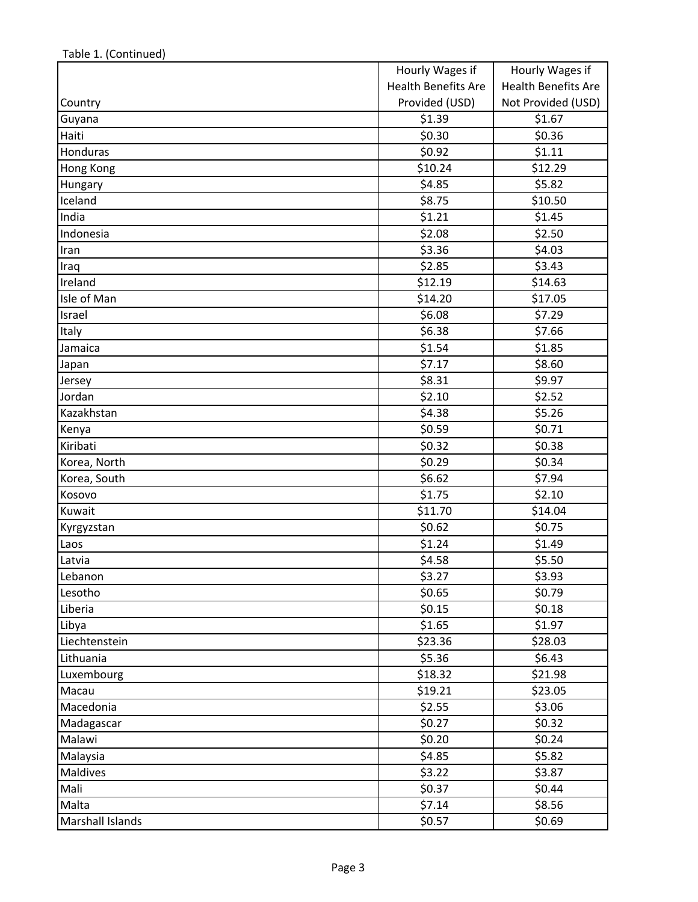|                  | Hourly Wages if            | Hourly Wages if            |
|------------------|----------------------------|----------------------------|
|                  | <b>Health Benefits Are</b> | <b>Health Benefits Are</b> |
| Country          | Provided (USD)             | Not Provided (USD)         |
| Guyana           | \$1.39                     | \$1.67                     |
| Haiti            | \$0.30                     | \$0.36                     |
| Honduras         | \$0.92                     | \$1.11                     |
| Hong Kong        | \$10.24                    | \$12.29                    |
| Hungary          | \$4.85                     | \$5.82                     |
| Iceland          | \$8.75                     | \$10.50                    |
| India            | \$1.21                     | \$1.45                     |
| Indonesia        | \$2.08                     | \$2.50                     |
| Iran             | \$3.36                     | \$4.03                     |
| Iraq             | \$2.85                     | \$3.43                     |
| Ireland          | \$12.19                    | \$14.63                    |
| Isle of Man      | \$14.20                    | \$17.05                    |
| Israel           | \$6.08                     | \$7.29                     |
| Italy            | \$6.38                     | \$7.66                     |
| Jamaica          | \$1.54                     | \$1.85                     |
| Japan            | \$7.17                     | \$8.60                     |
| Jersey           | \$8.31                     | \$9.97                     |
| Jordan           | \$2.10                     | \$2.52                     |
| Kazakhstan       | \$4.38                     | \$5.26                     |
| Kenya            | \$0.59                     | \$0.71                     |
| Kiribati         | \$0.32                     | \$0.38                     |
| Korea, North     | \$0.29                     | \$0.34                     |
| Korea, South     | \$6.62                     | \$7.94                     |
| Kosovo           | \$1.75                     | \$2.10                     |
| Kuwait           | \$11.70                    | \$14.04                    |
| Kyrgyzstan       | \$0.62                     | \$0.75                     |
| Laos             | \$1.24                     | \$1.49                     |
| Latvia           | \$4.58                     | \$5.50                     |
| Lebanon          | \$3.27                     | \$3.93                     |
| Lesotho          | \$0.65                     | \$0.79                     |
| Liberia          | \$0.15                     | \$0.18                     |
| Libya            | \$1.65                     | \$1.97                     |
| Liechtenstein    | \$23.36                    | \$28.03                    |
| Lithuania        | \$5.36                     | \$6.43                     |
| Luxembourg       | \$18.32                    | \$21.98                    |
| Macau            | \$19.21                    | \$23.05                    |
| Macedonia        | \$2.55                     | \$3.06                     |
| Madagascar       | \$0.27                     | \$0.32                     |
| Malawi           | \$0.20                     | \$0.24                     |
| Malaysia         | \$4.85                     | \$5.82                     |
| Maldives         | \$3.22                     | \$3.87                     |
| Mali             | \$0.37                     | \$0.44                     |
| Malta            | \$7.14                     | \$8.56                     |
| Marshall Islands | \$0.57                     | \$0.69                     |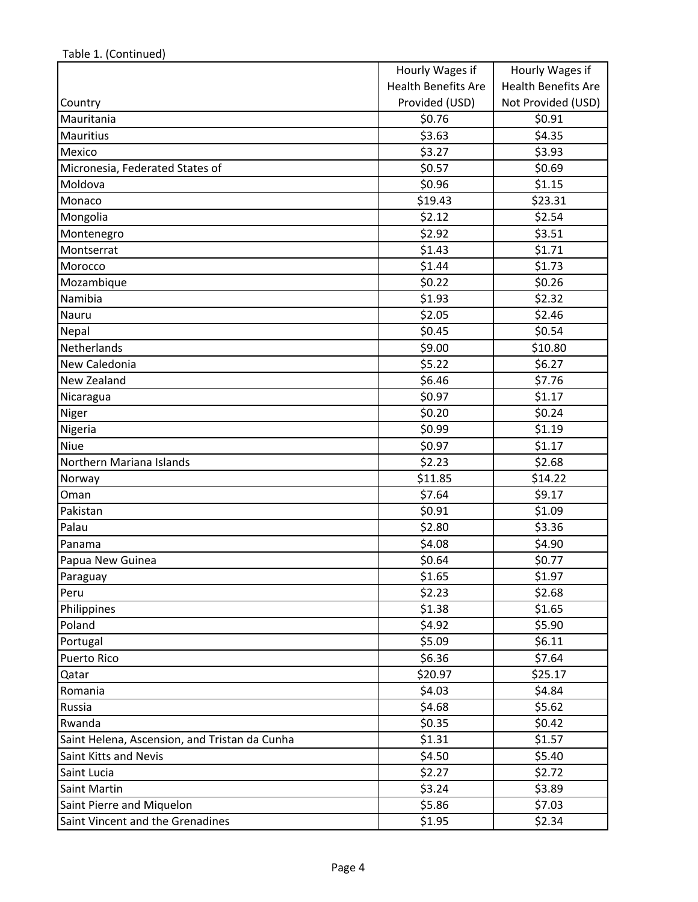|                                               | Hourly Wages if            | Hourly Wages if            |
|-----------------------------------------------|----------------------------|----------------------------|
|                                               | <b>Health Benefits Are</b> | <b>Health Benefits Are</b> |
| Country                                       | Provided (USD)             | Not Provided (USD)         |
| Mauritania                                    | \$0.76                     | \$0.91                     |
| <b>Mauritius</b>                              | \$3.63                     | \$4.35                     |
| Mexico                                        | \$3.27                     | \$3.93                     |
| Micronesia, Federated States of               | \$0.57                     | \$0.69                     |
| Moldova                                       | \$0.96                     | \$1.15                     |
| Monaco                                        | \$19.43                    | \$23.31                    |
| Mongolia                                      | \$2.12                     | \$2.54                     |
| Montenegro                                    | \$2.92                     | \$3.51                     |
| Montserrat                                    | \$1.43                     | \$1.71                     |
| Morocco                                       | \$1.44                     | \$1.73                     |
| Mozambique                                    | \$0.22                     | \$0.26                     |
| Namibia                                       | \$1.93                     | \$2.32                     |
| Nauru                                         | \$2.05                     | \$2.46                     |
| Nepal                                         | \$0.45                     | \$0.54                     |
| Netherlands                                   | \$9.00                     | \$10.80                    |
| New Caledonia                                 | \$5.22                     | \$6.27                     |
| New Zealand                                   | \$6.46                     | \$7.76                     |
| Nicaragua                                     | \$0.97                     | \$1.17                     |
| Niger                                         | \$0.20                     | \$0.24                     |
| Nigeria                                       | \$0.99                     | \$1.19                     |
| <b>Niue</b>                                   | \$0.97                     | \$1.17                     |
| Northern Mariana Islands                      | \$2.23                     | \$2.68                     |
| Norway                                        | \$11.85                    | \$14.22                    |
| Oman                                          | \$7.64                     | \$9.17                     |
| Pakistan                                      | \$0.91                     | \$1.09                     |
| Palau                                         | \$2.80                     | \$3.36                     |
| Panama                                        | \$4.08                     | \$4.90                     |
| Papua New Guinea                              | \$0.64                     | \$0.77                     |
| Paraguay                                      | \$1.65                     | \$1.97                     |
| Peru                                          | \$2.23                     | \$2.68                     |
| Philippines                                   | \$1.38                     | \$1.65                     |
| Poland                                        | \$4.92                     | \$5.90                     |
| Portugal                                      | \$5.09                     | \$6.11                     |
| Puerto Rico                                   | \$6.36                     | \$7.64                     |
| Qatar                                         | \$20.97                    | \$25.17                    |
| Romania                                       | \$4.03                     | \$4.84                     |
| Russia                                        | \$4.68                     | \$5.62                     |
| Rwanda                                        | \$0.35                     | \$0.42                     |
| Saint Helena, Ascension, and Tristan da Cunha | \$1.31                     | \$1.57                     |
| Saint Kitts and Nevis                         | \$4.50                     | \$5.40                     |
| Saint Lucia                                   | \$2.27                     | \$2.72                     |
| Saint Martin                                  | \$3.24                     | \$3.89                     |
| Saint Pierre and Miquelon                     | \$5.86                     | \$7.03                     |
| Saint Vincent and the Grenadines              | \$1.95                     | \$2.34                     |

Table 1. (Continued)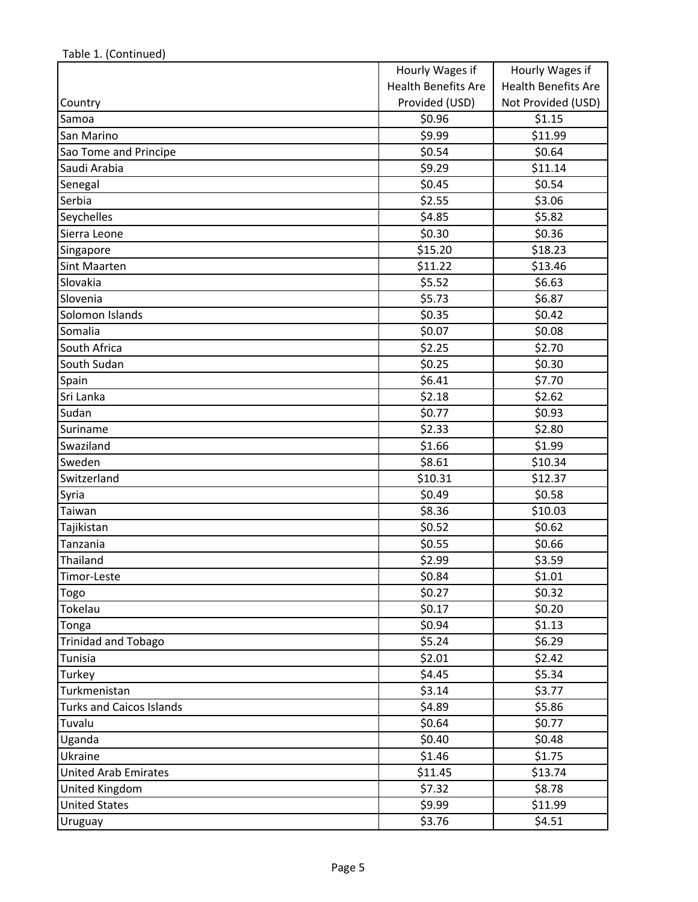|                                 | Hourly Wages if            | Hourly Wages if            |
|---------------------------------|----------------------------|----------------------------|
|                                 | <b>Health Benefits Are</b> | <b>Health Benefits Are</b> |
| Country                         | Provided (USD)             | Not Provided (USD)         |
| Samoa                           | \$0.96                     | \$1.15                     |
| San Marino                      | \$9.99                     | \$11.99                    |
| Sao Tome and Principe           | \$0.54                     | \$0.64                     |
| Saudi Arabia                    | \$9.29                     | \$11.14                    |
| Senegal                         | \$0.45                     | \$0.54                     |
| Serbia                          | \$2.55                     | \$3.06                     |
| Seychelles                      | \$4.85                     | \$5.82                     |
| Sierra Leone                    | \$0.30                     | \$0.36                     |
| Singapore                       | \$15.20                    | \$18.23                    |
| Sint Maarten                    | \$11.22                    | \$13.46                    |
| Slovakia                        | \$5.52                     | \$6.63                     |
| Slovenia                        | \$5.73                     | \$6.87                     |
| Solomon Islands                 | \$0.35                     | \$0.42                     |
| Somalia                         | \$0.07                     | \$0.08                     |
| South Africa                    | \$2.25                     | \$2.70                     |
| South Sudan                     | \$0.25                     | \$0.30                     |
| Spain                           | \$6.41                     | \$7.70                     |
| Sri Lanka                       | \$2.18                     | \$2.62                     |
| Sudan                           | \$0.77                     | \$0.93                     |
| Suriname                        | \$2.33                     | \$2.80                     |
| Swaziland                       | \$1.66                     | \$1.99                     |
| Sweden                          | \$8.61                     | \$10.34                    |
| Switzerland                     | \$10.31                    | \$12.37                    |
| Syria                           | \$0.49                     | \$0.58                     |
| Taiwan                          | \$8.36                     | \$10.03                    |
| Tajikistan                      | \$0.52                     | \$0.62                     |
| Tanzania                        | \$0.55                     | \$0.66                     |
| Thailand                        | \$2.99                     | \$3.59                     |
| Timor-Leste                     | \$0.84                     | \$1.01                     |
| Togo                            | \$0.27                     | \$0.32                     |
| Tokelau                         | \$0.17                     | \$0.20                     |
| Tonga                           | \$0.94                     | \$1.13                     |
| <b>Trinidad and Tobago</b>      | \$5.24                     | \$6.29                     |
| Tunisia                         | \$2.01                     | \$2.42                     |
| Turkey                          | \$4.45                     | \$5.34                     |
| Turkmenistan                    | \$3.14                     | \$3.77                     |
| <b>Turks and Caicos Islands</b> | \$4.89                     | \$5.86                     |
| Tuvalu                          | \$0.64                     | \$0.77                     |
| Uganda                          | \$0.40                     | \$0.48                     |
| Ukraine                         | \$1.46                     | \$1.75                     |
| <b>United Arab Emirates</b>     | \$11.45                    | \$13.74                    |
| United Kingdom                  | \$7.32                     | \$8.78                     |
| <b>United States</b>            | \$9.99                     | \$11.99                    |
| Uruguay                         | \$3.76                     | \$4.51                     |